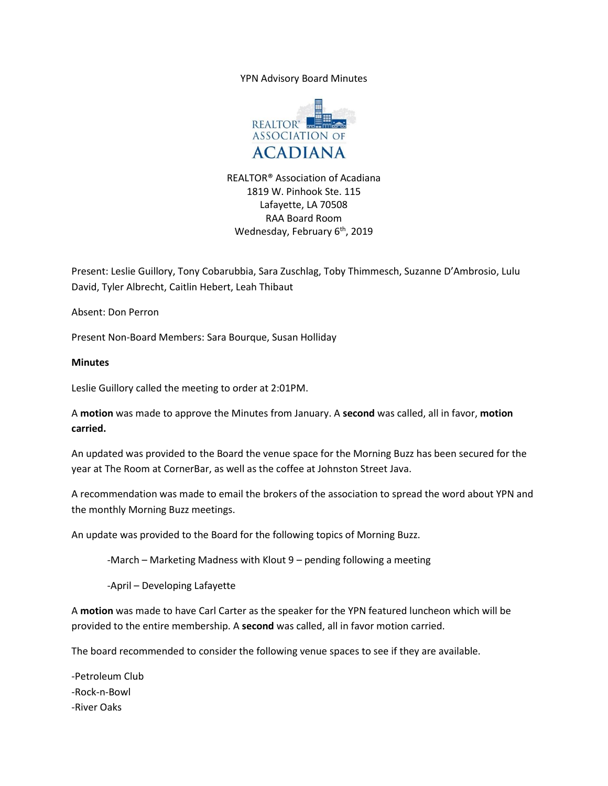YPN Advisory Board Minutes



REALTOR® Association of Acadiana 1819 W. Pinhook Ste. 115 Lafayette, LA 70508 RAA Board Room Wednesday, February 6<sup>th</sup>, 2019

Present: Leslie Guillory, Tony Cobarubbia, Sara Zuschlag, Toby Thimmesch, Suzanne D'Ambrosio, Lulu David, Tyler Albrecht, Caitlin Hebert, Leah Thibaut

Absent: Don Perron

Present Non-Board Members: Sara Bourque, Susan Holliday

## **Minutes**

Leslie Guillory called the meeting to order at 2:01PM.

A **motion** was made to approve the Minutes from January. A **second** was called, all in favor, **motion carried.** 

An updated was provided to the Board the venue space for the Morning Buzz has been secured for the year at The Room at CornerBar, as well as the coffee at Johnston Street Java.

A recommendation was made to email the brokers of the association to spread the word about YPN and the monthly Morning Buzz meetings.

An update was provided to the Board for the following topics of Morning Buzz.

-March – Marketing Madness with Klout 9 – pending following a meeting

-April – Developing Lafayette

A **motion** was made to have Carl Carter as the speaker for the YPN featured luncheon which will be provided to the entire membership. A **second** was called, all in favor motion carried.

The board recommended to consider the following venue spaces to see if they are available.

-Petroleum Club -Rock-n-Bowl -River Oaks